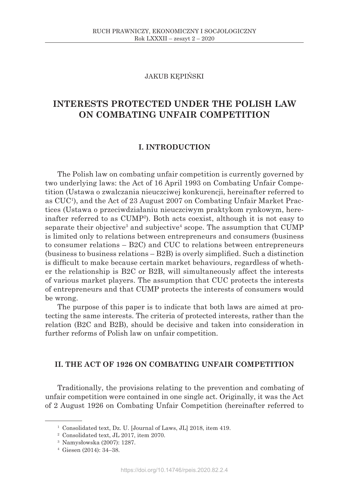# JAKUB KĘPIŃSKI

# **INTERESTS PROTECTED UNDER THE POLISH LAW ON COMBATING UNFAIR COMPETITION**

# **I. INTRODUCTION**

The Polish law on combating unfair competition is currently governed by two underlying laws: the Act of 16 April 1993 on Combating Unfair Competition (Ustawa o zwalczania nieuczciwej konkurencji, hereinafter referred to as CUC1 ), and the Act of 23 August 2007 on Combating Unfair Market Practices (Ustawa o przeciwdziałaniu nieuczciwym praktykom rynkowym, hereinafter referred to as CUMP2 ). Both acts coexist, although it is not easy to separate their objective<sup>3</sup> and subjective<sup>4</sup> scope. The assumption that CUMP is limited only to relations between entrepreneurs and consumers (business to consumer relations – B2C) and CUC to relations between entrepreneurs (business to business relations – B2B) is overly simplified. Such a distinction is difficult to make because certain market behaviours, regardless of whether the relationship is B2C or B2B, will simultaneously affect the interests of various market players. The assumption that CUC protects the interests of entrepreneurs and that CUMP protects the interests of consumers would be wrong.

The purpose of this paper is to indicate that both laws are aimed at protecting the same interests. The criteria of protected interests, rather than the relation (B2C and B2B), should be decisive and taken into consideration in further reforms of Polish law on unfair competition.

# **II. THE ACT OF 1926 ON COMBATING UNFAIR COMPETITION**

Traditionally, the provisions relating to the prevention and combating of unfair competition were contained in one single act. Originally, it was the Act of 2 August 1926 on Combating Unfair Competition (hereinafter referred to

<sup>1</sup> Consolidated text, Dz. U. [Journal of Laws, JL] 2018, item 419.

<sup>2</sup> Consolidated text, JL 2017, item 2070.

<sup>3</sup> Namysłowska (2007): 1287.

<sup>4</sup> Giesen (2014): 34–38.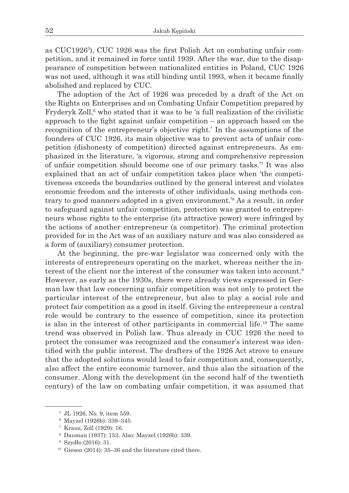as CUC1926<sup>5</sup>), CUC 1926 was the first Polish Act on combating unfair competition, and it remained in force until 1939. After the war, due to the disappearance of competition between nationalized entities in Poland, CUC 1926 was not used, although it was still binding until 1993, when it became finally abolished and replaced by CUC.

The adoption of the Act of 1926 was preceded by a draft of the Act on the Rights on Enterprises and on Combating Unfair Competition prepared by Fryderyk Zoll,<sup>6</sup> who stated that it was to be 'a full realization of the civilistic approach to the fight against unfair competition – an approach based on the recognition of the entrepreneur's objective right.' In the assumptions of the founders of CUC 1926, its main objective was to prevent acts of unfair competition (dishonesty of competition) directed against entrepreneurs. As emphasized in the literature, 'a vigorous, strong and comprehensive repression of unfair competition should become one of our primary tasks.'7 It was also explained that an act of unfair competition takes place when 'the competitiveness exceeds the boundaries outlined by the general interest and violates economic freedom and the interests of other individuals, using methods contrary to good manners adopted in a given environment.'8 As a result, in order to safeguard against unfair competition, protection was granted to entrepreneurs whose rights to the enterprise (its attractive power) were infringed by the actions of another entrepreneur (a competitor). The criminal protection provided for in the Act was of an auxiliary nature and was also considered as a form of (auxiliary) consumer protection.

At the beginning, the pre-war legislator was concerned only with the interests of entrepreneurs operating on the market, whereas neither the interest of the client nor the interest of the consumer was taken into account.<sup>9</sup> However, as early as the 1930s, there were already views expressed in German law that law concerning unfair competition was not only to protect the particular interest of the entrepreneur, but also to play a social role and protect fair competition as a good in itself. Giving the entrepreneur a central role would be contrary to the essence of competition, since its protection is also in the interest of other participants in commercial life.10 The same trend was observed in Polish law. Thus already in CUC 1926 the need to protect the consumer was recognized and the consumer's interest was identified with the public interest. The drafters of the 1926 Act strove to ensure that the adopted solutions would lead to fair competition and, consequently, also affect the entire economic turnover, and thus also the situation of the consumer. Along with the development (in the second half of the twentieth century) of the law on combating unfair competition, it was assumed that

<sup>5</sup> JL 1926, No. 9, item 559.

<sup>6</sup> Mayzel (1926b): 339–345.

<sup>7</sup> Kraus, Zoll (1929): 16.

<sup>8</sup> Dauman (1937): 153. Also: Mayzel (1926b): 339.

<sup>9</sup> Szydło (2016): 31.

<sup>10</sup> Giesen (2014): 35–36 and the literature cited there.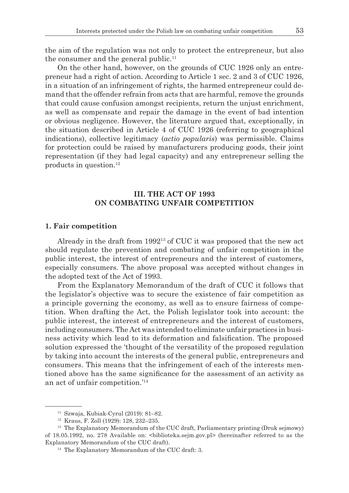the aim of the regulation was not only to protect the entrepreneur, but also the consumer and the general public.<sup>11</sup>

On the other hand, however, on the grounds of CUC 1926 only an entrepreneur had a right of action. According to Article 1 sec. 2 and 3 of CUC 1926, in a situation of an infringement of rights, the harmed entrepreneur could demand that the offender refrain from acts that are harmful, remove the grounds that could cause confusion amongst recipients, return the unjust enrichment, as well as compensate and repair the damage in the event of bad intention or obvious negligence. However, the literature argued that, exceptionally, in the situation described in Article 4 of CUC 1926 (referring to geographical indications), collective legitimacy (*actio popularis*) was permissible. Claims for protection could be raised by manufacturers producing goods, their joint representation (if they had legal capacity) and any entrepreneur selling the products in question.12

# **III. THE ACT OF 1993 ON COMBATING UNFAIR COMPETITION**

#### **1. Fair competition**

Already in the draft from 199213 of CUC it was proposed that the new act should regulate the prevention and combating of unfair competition in the public interest, the interest of entrepreneurs and the interest of customers, especially consumers. The above proposal was accepted without changes in the adopted text of the Act of 1993.

From the Explanatory Memorandum of the draft of CUC it follows that the legislator's objective was to secure the existence of fair competition as a principle governing the economy, as well as to ensure fairness of competition. When drafting the Act, the Polish legislator took into account: the public interest, the interest of entrepreneurs and the interest of customers, including consumers. The Act was intended to eliminate unfair practices in business activity which lead to its deformation and falsification. The proposed solution expressed the 'thought of the versatility of the proposed regulation by taking into account the interests of the general public, entrepreneurs and consumers. This means that the infringement of each of the interests mentioned above has the same significance for the assessment of an activity as an act of unfair competition.'14

<sup>11</sup> Szwaja, Kubiak-Cyrul (2019): 81–82.

<sup>12</sup> Kraus, F. Zoll (1929): 128, 232–235.

<sup>&</sup>lt;sup>13</sup> The Explanatory Memorandum of the CUC draft, Parliamentary printing (Druk sejmowy) of 18.05.1992, no. 278 Available on: <biblioteka.sejm.gov.pl> (hereinafter referred to as the Explanatory Memorandum of the CUC draft).

<sup>&</sup>lt;sup>14</sup> The Explanatory Memorandum of the CUC draft: 3.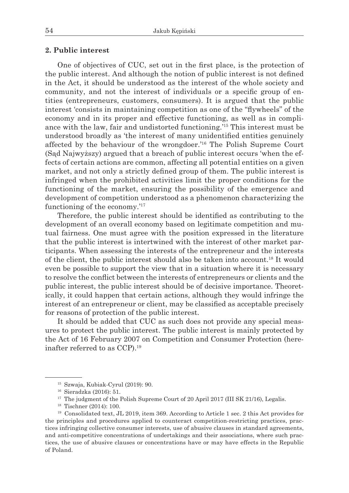## **2. Public interest**

One of objectives of CUC, set out in the first place, is the protection of the public interest. And although the notion of public interest is not defined in the Act, it should be understood as the interest of the whole society and community, and not the interest of individuals or a specific group of entities (entrepreneurs, customers, consumers). It is argued that the public interest 'consists in maintaining competition as one of the "flywheels" of the economy and in its proper and effective functioning, as well as in compliance with the law, fair and undistorted functioning.'15 This interest must be understood broadly as 'the interest of many unidentified entities genuinely affected by the behaviour of the wrongdoer.'16 The Polish Supreme Court (Sąd Najwyższy) argued that a breach of public interest occurs 'when the effects of certain actions are common, affecting all potential entities on a given market, and not only a strictly defined group of them. The public interest is infringed when the prohibited activities limit the proper conditions for the functioning of the market, ensuring the possibility of the emergence and development of competition understood as a phenomenon characterizing the functioning of the economy.'17

Therefore, the public interest should be identified as contributing to the development of an overall economy based on legitimate competition and mutual fairness. One must agree with the position expressed in the literature that the public interest is intertwined with the interest of other market participants. When assessing the interests of the entrepreneur and the interests of the client, the public interest should also be taken into account.18 It would even be possible to support the view that in a situation where it is necessary to resolve the conflict between the interests of entrepreneurs or clients and the public interest, the public interest should be of decisive importance. Theoretically, it could happen that certain actions, although they would infringe the interest of an entrepreneur or client, may be classified as acceptable precisely for reasons of protection of the public interest.

It should be added that CUC as such does not provide any special measures to protect the public interest. The public interest is mainly protected by the Act of 16 February 2007 on Competition and Consumer Protection (hereinafter referred to as CCP).19

<sup>15</sup> Szwaja, Kubiak-Cyrul (2019): 90.

<sup>16</sup> Sieradzka (2016): 51.

<sup>&</sup>lt;sup>17</sup> The judgment of the Polish Supreme Court of 20 April 2017 (III SK 21/16), Legalis.<br><sup>18</sup> Tischner (2014): 100.

<sup>19</sup> Consolidated text, JL 2019, item 369. According to Article 1 sec. 2 this Act provides for the principles and procedures applied to counteract competition-restricting practices, practices infringing collective consumer interests, use of abusive clauses in standard agreements, and anti-competitive concentrations of undertakings and their associations, where such practices, the use of abusive clauses or concentrations have or may have effects in the Republic of Poland.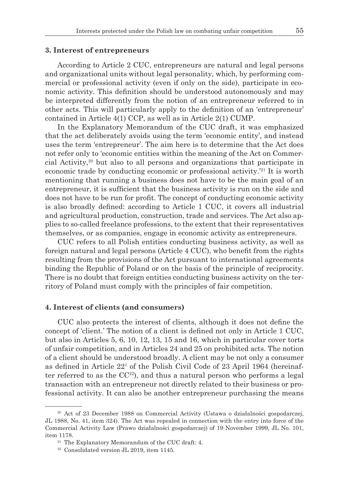#### **3. Interest of entrepreneurs**

According to Article 2 CUC, entrepreneurs are natural and legal persons and organizational units without legal personality, which, by performing commercial or professional activity (even if only on the side), participate in economic activity. This definition should be understood autonomously and may be interpreted differently from the notion of an entrepreneur referred to in other acts. This will particularly apply to the definition of an 'entrepreneur' contained in Article 4(1) CCP, as well as in Article 2(1) CUMP.

In the Explanatory Memorandum of the CUC draft, it was emphasized that the act deliberately avoids using the term 'economic entity', and instead uses the term 'entrepreneur'. The aim here is to determine that the Act does not refer only to 'economic entities within the meaning of the Act on Commercial Activity,20 but also to all persons and organizations that participate in economic trade by conducting economic or professional activity.<sup>'21</sup> It is worth mentioning that running a business does not have to be the main goal of an entrepreneur, it is sufficient that the business activity is run on the side and does not have to be run for profit. The concept of conducting economic activity is also broadly defined: according to Article 1 CUC, it covers all industrial and agricultural production, construction, trade and services. The Act also applies to so-called freelance professions, to the extent that their representatives themselves, or as companies, engage in economic activity as entrepreneurs.

CUC refers to all Polish entities conducting business activity, as well as foreign natural and legal persons (Article 4 CUC), who benefit from the rights resulting from the provisions of the Act pursuant to international agreements binding the Republic of Poland or on the basis of the principle of reciprocity. There is no doubt that foreign entities conducting business activity on the territory of Poland must comply with the principles of fair competition.

## **4. Interest of clients (and consumers)**

CUC also protects the interest of clients, although it does not define the concept of 'client.' The notion of a client is defined not only in Article 1 CUC, but also in Articles 5, 6, 10, 12, 13, 15 and 16, which in particular cover torts of unfair competition, and in Articles 24 and 25 on prohibited acts. The notion of a client should be understood broadly. A client may be not only a consumer as defined in Article  $22<sup>1</sup>$  of the Polish Civil Code of 23 April 1964 (hereinafter referred to as the  $CC^{22}$ ), and thus a natural person who performs a legal transaction with an entrepreneur not directly related to their business or professional activity. It can also be another entrepreneur purchasing the means

<sup>&</sup>lt;sup>20</sup> Act of 23 December 1988 on Commercial Activity (Ustawa o działalności gospodarczej, JL 1988, No. 41, item 324). The Act was repealed in connection with the entry into force of the Commercial Activity Law (Prawo działalności gospodarczej) of 19 November 1999, JL No. 101,

item 1178.<br><sup>21</sup> The Explanatory Memorandum of the CUC draft: 4.<br><sup>22</sup> Consolidated version JL 2019, item 1145.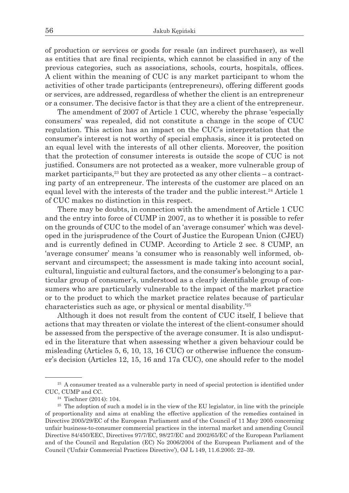of production or services or goods for resale (an indirect purchaser), as well as entities that are final recipients, which cannot be classified in any of the previous categories, such as associations, schools, courts, hospitals, offices. A client within the meaning of CUC is any market participant to whom the activities of other trade participants (entrepreneurs), offering different goods or services, are addressed, regardless of whether the client is an entrepreneur or a consumer. The decisive factor is that they are a client of the entrepreneur.

The amendment of 2007 of Article 1 CUC, whereby the phrase 'especially consumers' was repealed, did not constitute a change in the scope of CUC regulation. This action has an impact on the CUC's interpretation that the consumer's interest is not worthy of special emphasis, since it is protected on an equal level with the interests of all other clients. Moreover, the position that the protection of consumer interests is outside the scope of CUC is not justified. Consumers are not protected as a weaker, more vulnerable group of market participants,  $23$  but they are protected as any other clients – a contracting party of an entrepreneur. The interests of the customer are placed on an equal level with the interests of the trader and the public interest.24 Article 1 of CUC makes no distinction in this respect.

There may be doubts, in connection with the amendment of Article 1 CUC and the entry into force of CUMP in 2007, as to whether it is possible to refer on the grounds of CUC to the model of an 'average consumer' which was developed in the jurisprudence of the Court of Justice the European Union (CJEU) and is currently defined in CUMP. According to Article 2 sec. 8 CUMP, an 'average consumer' means 'a consumer who is reasonably well informed, observant and circumspect; the assessment is made taking into account social, cultural, linguistic and cultural factors, and the consumer's belonging to a particular group of consumer's, understood as a clearly identifiable group of consumers who are particularly vulnerable to the impact of the market practice or to the product to which the market practice relates because of particular characteristics such as age, or physical or mental disability.'25

Although it does not result from the content of CUC itself, I believe that actions that may threaten or violate the interest of the client-consumer should be assessed from the perspective of the average consumer. It is also undisputed in the literature that when assessing whether a given behaviour could be misleading (Articles 5, 6, 10, 13, 16 CUC) or otherwise influence the consumer's decision (Articles 12, 15, 16 and 17a CUC), one should refer to the model

<sup>&</sup>lt;sup>23</sup> A consumer treated as a vulnerable party in need of special protection is identified under CUC, CUMP and CC.

<sup>24</sup> Tischner (2014): 104.

<sup>&</sup>lt;sup>25</sup> The adoption of such a model is in the view of the EU legislator, in line with the principle of proportionality and aims at enabling the effective application of the remedies contained in Directive 2005/29/EC of the European Parliament and of the Council of 11 May 2005 concerning unfair business-to-consumer commercial practices in the internal market and amending Council Directive 84/450/EEC, Directives 97/7/EC, 98/27/EC and 2002/65/EC of the European Parliament and of the Council and Regulation (EC) No 2006/2004 of the European Parliament and of the Council ('Unfair Commercial Practices Directive'), OJ L 149, 11.6.2005: 22–39.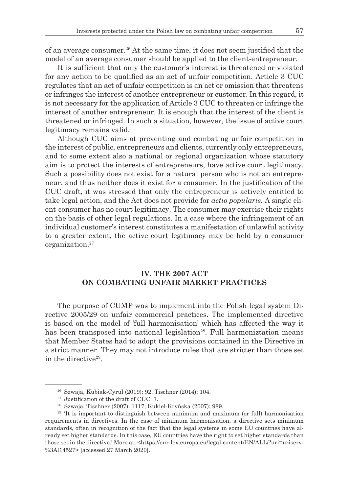of an average consumer.26 At the same time, it does not seem justified that the model of an average consumer should be applied to the client-entrepreneur.

It is sufficient that only the customer's interest is threatened or violated for any action to be qualified as an act of unfair competition. Article 3 CUC regulates that an act of unfair competition is an act or omission that threatens or infringes the interest of another entrepreneur or customer. In this regard, it is not necessary for the application of Article 3 CUC to threaten or infringe the interest of another entrepreneur. It is enough that the interest of the client is threatened or infringed. In such a situation, however, the issue of active court legitimacy remains valid.

Although CUC aims at preventing and combating unfair competition in the interest of public, entrepreneurs and clients, currently only entrepreneurs, and to some extent also a national or regional organization whose statutory aim is to protect the interests of entrepreneurs, have active court legitimacy. Such a possibility does not exist for a natural person who is not an entrepreneur, and thus neither does it exist for a consumer. In the justification of the CUC draft, it was stressed that only the entrepreneur is actively entitled to take legal action, and the Act does not provide for *actio popularis.* A single client-consumer has no court legitimacy. The consumer may exercise their rights on the basis of other legal regulations. In a case where the infringement of an individual customer's interest constitutes a manifestation of unlawful activity to a greater extent, the active court legitimacy may be held by a consumer organization.27

# **IV. THE 2007 ACT ON COMBATING UNFAIR MARKET PRACTICES**

The purpose of CUMP was to implement into the Polish legal system Directive 2005/29 on unfair commercial practices. The implemented directive is based on the model of 'full harmonisation' which has affected the way it has been transposed into national legislation<sup>28</sup>. Full harmoniztation means that Member States had to adopt the provisions contained in the Directive in a strict manner. They may not introduce rules that are stricter than those set in the directive29.

<sup>26</sup> Szwaja, Kubiak-Cyrul (2019): 92, Tischner (2014): 104.

<sup>&</sup>lt;sup>27</sup> Justification of the draft of CUC: 7.

<sup>28</sup> Szwaja, Tischner (2007): 1117; Kukiel-Kryńska (2007): 989.

<sup>&</sup>lt;sup>29</sup> 'It is important to distinguish between minimum and maximum (or full) harmonisation requirements in directives. In the case of minimum harmonisation, a directive sets minimum standards, often in recognition of the fact that the legal systems in some EU countries have already set higher standards. In this case, EU countries have the right to set higher standards than those set in the directive.' More at: <https://eur-lex.europa.eu/legal-content/EN/ALL/?uri=uriserv- %3Al14527> [accessed 27 March 2020].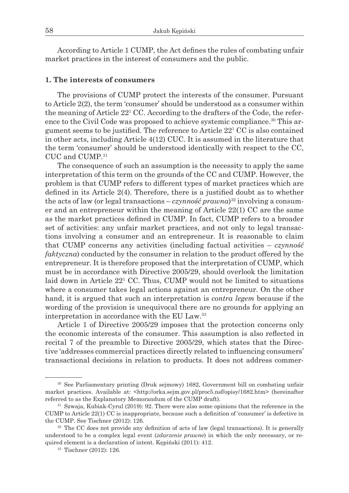According to Article 1 CUMP, the Act defines the rules of combating unfair market practices in the interest of consumers and the public.

## **1. The interests of consumers**

The provisions of CUMP protect the interests of the consumer. Pursuant to Article 2(2), the term 'consumer' should be understood as a consumer within the meaning of Article  $22^1$  CC. According to the drafters of the Code, the reference to the Civil Code was proposed to achieve systemic compliance.<sup>30</sup> This argument seems to be justified. The reference to Article  $22^1$  CC is also contained in other acts, including Article 4(12) CUC. It is assumed in the literature that the term 'consumer' should be understood identically with respect to the CC, CUC and CUMP.31

The consequence of such an assumption is the necessity to apply the same interpretation of this term on the grounds of the CC and CUMP. However, the problem is that CUMP refers to different types of market practices which are defined in its Article 2(4). Therefore, there is a justified doubt as to whether the acts of law (or legal transactions – *czynność prawna*)32 involving a consumer and an entrepreneur within the meaning of Article 22(1) CC are the same as the market practices defined in CUMP. In fact, CUMP refers to a broader set of activities: any unfair market practices, and not only to legal transactions involving a consumer and an entrepreneur. It is reasonable to claim that CUMP concerns any activities (including factual activities – *czynność faktyczna*) conducted by the consumer in relation to the product offered by the entrepreneur. It is therefore proposed that the interpretation of CUMP, which must be in accordance with Directive 2005/29, should overlook the limitation laid down in Article 221 CC. Thus, CUMP would not be limited to situations where a consumer takes legal actions against an entrepreneur. On the other hand, it is argued that such an interpretation is *contra legem* because if the wording of the provision is unequivocal there are no grounds for applying an interpretation in accordance with the EU Law.33

Article 1 of Directive 2005/29 imposes that the protection concerns only the economic interests of the consumer. This assumption is also reflected in recital 7 of the preamble to Directive 2005/29, which states that the Directive 'addresses commercial practices directly related to influencing consumers' transactional decisions in relation to products. It does not address commer-

<sup>30</sup> See Parliamentary printing (Druk sejmowy) 1682, Government bill on combating unfair market practices. Available at: <http://orka.sejm.gov.pl/proc5.nsf/opisy/1682.htm> (hereinafter referred to as the Explanatory Memorandum of the CUMP draft).

<sup>31</sup> Szwaja, Kubiak-Cyrul (2019): 92. There were also some opinions that the reference in the CUMP to Article 22(1) CC is inappropriate, because such a definition of 'consumer' is defective in the CUMP. See Tischner (2012): 126.

<sup>&</sup>lt;sup>32</sup> The CC does not provide any definition of acts of law (legal transactions). It is generally understood to be a complex legal event (*zdarzenie prawne*) in which the only necessary, or required element is a declaration of intent. Kępiński (2011): 412. 33 Tischner (2012): 126.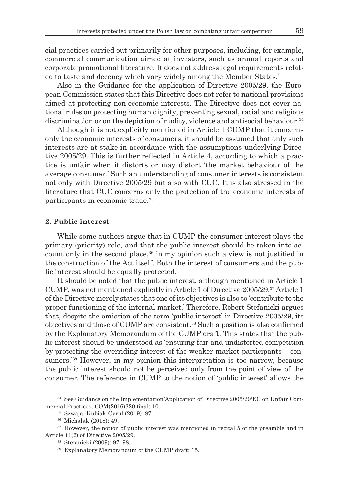cial practices carried out primarily for other purposes, including, for example, commercial communication aimed at investors, such as annual reports and corporate promotional literature. It does not address legal requirements related to taste and decency which vary widely among the Member States.'

Also in the Guidance for the application of Directive 2005/29, the European Commission states that this Directive does not refer to national provisions aimed at protecting non-economic interests. The Directive does not cover national rules on protecting human dignity, preventing sexual, racial and religious discrimination or on the depiction of nudity, violence and antisocial behaviour.<sup>34</sup>

Although it is not explicitly mentioned in Article 1 CUMP that it concerns only the economic interests of consumers, it should be assumed that only such interests are at stake in accordance with the assumptions underlying Directive 2005/29. This is further reflected in Article 4, according to which a practice is unfair when it distorts or may distort 'the market behaviour of the average consumer.' Such an understanding of consumer interests is consistent not only with Directive 2005/29 but also with CUC. It is also stressed in the literature that CUC concerns only the protection of the economic interests of participants in economic trade.35

### **2. Public interest**

While some authors argue that in CUMP the consumer interest plays the primary (priority) role, and that the public interest should be taken into account only in the second place,  $36$  in my opinion such a view is not justified in the construction of the Act itself. Both the interest of consumers and the public interest should be equally protected.

It should be noted that the public interest, although mentioned in Article 1 CUMP, was not mentioned explicitly in Article 1 of Directive 2005/29.37 Article 1 of the Directive merely states that one of its objectives is also to 'contribute to the proper functioning of the internal market.' Therefore, Robert Stefanicki argues that, despite the omission of the term 'public interest' in Directive 2005/29, its objectives and those of CUMP are consistent.38 Such a position is also confirmed by the Explanatory Memorandum of the CUMP draft. This states that the public interest should be understood as 'ensuring fair and undistorted competition by protecting the overriding interest of the weaker market participants – consumers.'39 However, in my opinion this interpretation is too narrow, because the public interest should not be perceived only from the point of view of the consumer. The reference in CUMP to the notion of 'public interest' allows the

<sup>&</sup>lt;sup>34</sup> See Guidance on the Implementation/Application of Directive 2005/29/EC on Unfair Commercial Practices, COM(2016)320 final: 10.

<sup>35</sup> Szwaja, Kubiak-Cyrul (2019): 87. 36 Michalak (2018): 49.

<sup>&</sup>lt;sup>37</sup> However, the notion of public interest was mentioned in recital 5 of the preamble and in Article 11(2) of Directive 2005/29.

<sup>38</sup> Stefanicki (2009): 97–98.

<sup>39</sup> Explanatory Memorandum of the CUMP draft: 15.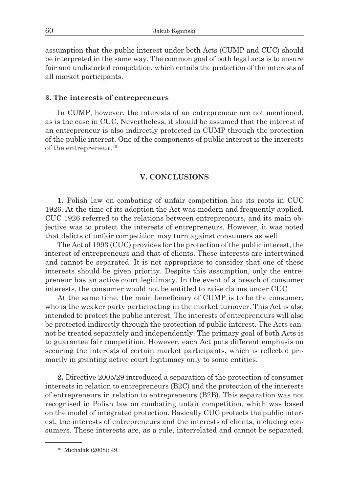assumption that the public interest under both Acts (CUMP and CUC) should be interpreted in the same way. The common goal of both legal acts is to ensure fair and undistorted competition, which entails the protection of the interests of all market participants.

### **3. The interests of entrepreneurs**

In CUMP, however, the interests of an entrepreneur are not mentioned, as is the case in CUC. Nevertheless, it should be assumed that the interest of an entrepreneur is also indirectly protected in CUMP through the protection of the public interest. One of the components of public interest is the interests of the entrepreneur.40

## **V. CONCLUSIONS**

**1.** Polish law on combating of unfair competition has its roots in CUC 1926. At the time of its adoption the Act was modern and frequently applied. CUC 1926 referred to the relations between entrepreneurs, and its main objective was to protect the interests of entrepreneurs. However, it was noted that delicts of unfair competition may turn against consumers as well.

The Act of 1993 (CUC) provides for the protection of the public interest, the interest of entrepreneurs and that of clients. These interests are intertwined and cannot be separated. It is not appropriate to consider that one of these interests should be given priority. Despite this assumption, only the entrepreneur has an active court legitimacy. In the event of a breach of consumer interests, the consumer would not be entitled to raise claims under CUC

At the same time, the main beneficiary of CUMP is to be the consumer, who is the weaker party participating in the market turnover. This Act is also intended to protect the public interest. The interests of entrepreneurs will also be protected indirectly through the protection of public interest. The Acts cannot be treated separately and independently. The primary goal of both Acts is to guarantee fair competition. However, each Act puts different emphasis on securing the interests of certain market participants, which is reflected primarily in granting active court legitimacy only to some entities.

**2.** Directive 2005/29 introduced a separation of the protection of consumer interests in relation to entrepreneurs (B2C) and the protection of the interests of entrepreneurs in relation to entrepreneurs (B2B). This separation was not recognised in Polish law on combating unfair competition, which was based on the model of integrated protection. Basically CUC protects the public interest, the interests of entrepreneurs and the interests of clients, including consumers. These interests are, as a rule, interrelated and cannot be separated.

<sup>40</sup> Michalak (2008): 49.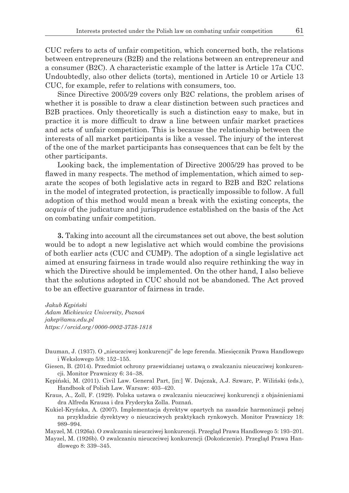CUC refers to acts of unfair competition, which concerned both, the relations between entrepreneurs (B2B) and the relations between an entrepreneur and a consumer (B2C). A characteristic example of the latter is Article 17a CUC. Undoubtedly, also other delicts (torts), mentioned in Article 10 or Article 13 CUC, for example, refer to relations with consumers, too.

Since Directive 2005/29 covers only B2C relations, the problem arises of whether it is possible to draw a clear distinction between such practices and B2B practices. Only theoretically is such a distinction easy to make, but in practice it is more difficult to draw a line between unfair market practices and acts of unfair competition. This is because the relationship between the interests of all market participants is like a vessel. The injury of the interest of the one of the market participants has consequences that can be felt by the other participants.

Looking back, the implementation of Directive 2005/29 has proved to be flawed in many respects. The method of implementation, which aimed to separate the scopes of both legislative acts in regard to B2B and B2C relations in the model of integrated protection, is practically impossible to follow. A full adoption of this method would mean a break with the existing concepts, the *acquis* of the judicature and jurisprudence established on the basis of the Act on combating unfair competition.

**3.** Taking into account all the circumstances set out above, the best solution would be to adopt a new legislative act which would combine the provisions of both earlier acts (CUC and CUMP). The adoption of a single legislative act aimed at ensuring fairness in trade would also require rethinking the way in which the Directive should be implemented. On the other hand, I also believe that the solutions adopted in CUC should not be abandoned. The Act proved to be an effective guarantor of fairness in trade.

*Jakub Kępiński Adam Mickiewicz University, Poznań jakep@amu.edu.pl https://orcid.org/0000-0002-3738-1818*

- Dauman, J. (1937). O "nieuczciwej konkurencji" de lege ferenda. Miesięcznik Prawa Handlowego i Wekslowego 5/8: 152–155.
- Giesen, B. (2014). Przedmiot ochrony przewidzianej ustawą o zwalczaniu nieuczciwej konkurencji. Monitor Prawniczy 6: 34–38.
- Kępiński, M. (2011). Civil Law. General Part, [in:] W. Dajczak, A.J. Szwarc, P. Wiliński (eds.), Handbook of Polish Law. Warsaw: 403–420.
- Kraus, A., Zoll, F. (1929). Polska ustawa o zwalczaniu nieuczciwej konkurencji z objaśnieniami dra Alfreda Krausa i dra Fryderyka Zolla. Poznań.
- Kukiel-Kryńska, A. (2007). Implementacja dyrektyw opartych na zasadzie harmonizacji pełnej na przykładzie dyrektywy o nieuczciwych praktykach rynkowych. Monitor Prawniczy 18: 989–994.
- Mayzel, M. (1926a). O zwalczaniu nieuczciwej konkurencji. Przegląd Prawa Handlowego 5: 193–201.
- Mayzel, M. (1926b). O zwalczaniu nieuczciwej konkurencji (Dokończenie). Przegląd Prawa Handlowego 8: 339–345.